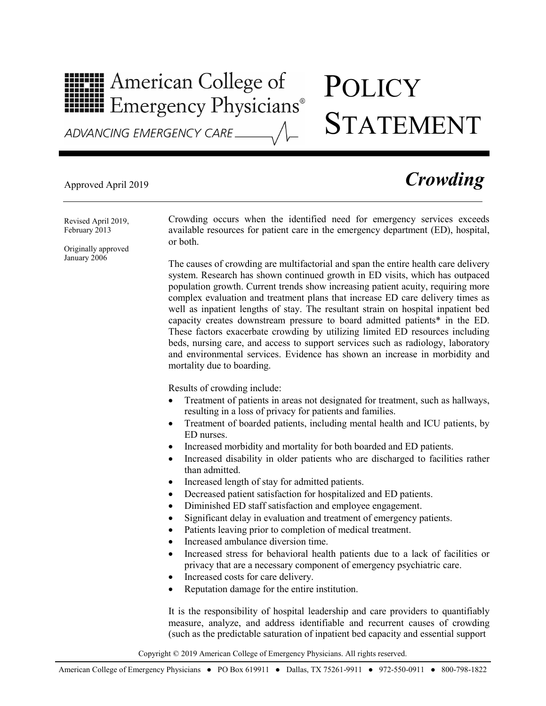## **HILLE** American College of **HILLE** Emergency Physicians®

# **POLICY** STATEMENT

ADVANCING EMERGENCY CARE

## Approved April 2019 *Crowding*

Revised April 2019, February 2013

Originally approved January 2006

Crowding occurs when the identified need for emergency services exceeds available resources for patient care in the emergency department (ED), hospital, or both.

The causes of crowding are multifactorial and span the entire health care delivery system. Research has shown continued growth in ED visits, which has outpaced population growth. Current trends show increasing patient acuity, requiring more complex evaluation and treatment plans that increase ED care delivery times as well as inpatient lengths of stay. The resultant strain on hospital inpatient bed capacity creates downstream pressure to board admitted patients\* in the ED. These factors exacerbate crowding by utilizing limited ED resources including beds, nursing care, and access to support services such as radiology, laboratory and environmental services. Evidence has shown an increase in morbidity and mortality due to boarding.

Results of crowding include:

- Treatment of patients in areas not designated for treatment, such as hallways, resulting in a loss of privacy for patients and families.
- Treatment of boarded patients, including mental health and ICU patients, by ED nurses.
- Increased morbidity and mortality for both boarded and ED patients.
- Increased disability in older patients who are discharged to facilities rather than admitted.
- Increased length of stay for admitted patients.
- Decreased patient satisfaction for hospitalized and ED patients.
- Diminished ED staff satisfaction and employee engagement.
- Significant delay in evaluation and treatment of emergency patients.
- Patients leaving prior to completion of medical treatment.
- Increased ambulance diversion time.
- Increased stress for behavioral health patients due to a lack of facilities or privacy that are a necessary component of emergency psychiatric care.
- Increased costs for care delivery.
- Reputation damage for the entire institution.

It is the responsibility of hospital leadership and care providers to quantifiably measure, analyze, and address identifiable and recurrent causes of crowding (such as the predictable saturation of inpatient bed capacity and essential support

Copyright © 2019 American College of Emergency Physicians. All rights reserved.